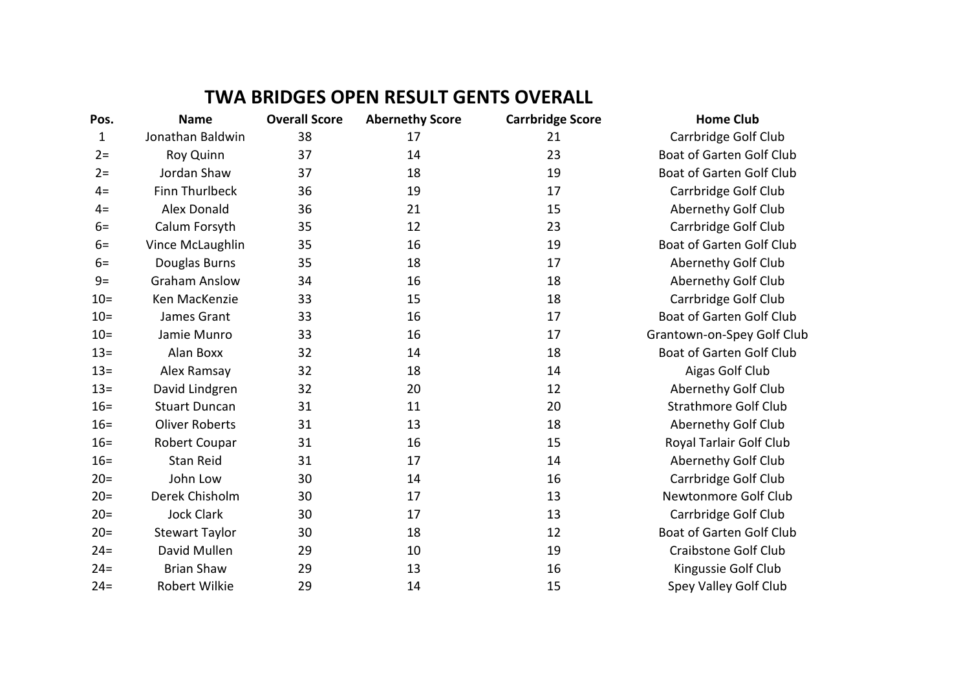## **TWA BRIDGES OPEN RESULT GENTS OVERALL**

| Pos.   | <b>Name</b>           | <b>Overall Score</b> | <b>Abernethy Score</b> | <b>Carrbridge Score</b> | <b>Home Club</b>                |
|--------|-----------------------|----------------------|------------------------|-------------------------|---------------------------------|
| 1      | Jonathan Baldwin      | 38                   | 17                     | 21                      | Carrbridge Golf Club            |
| $2=$   | Roy Quinn             | 37                   | 14                     | 23                      | <b>Boat of Garten Golf Club</b> |
| $2=$   | Jordan Shaw           | 37                   | 18                     | 19                      | Boat of Garten Golf Club        |
| $4=$   | <b>Finn Thurlbeck</b> | 36                   | 19                     | 17                      | Carrbridge Golf Club            |
| $4=$   | <b>Alex Donald</b>    | 36                   | 21                     | 15                      | Abernethy Golf Club             |
| $6=$   | Calum Forsyth         | 35                   | 12                     | 23                      | Carrbridge Golf Club            |
| $6=$   | Vince McLaughlin      | 35                   | 16                     | 19                      | Boat of Garten Golf Club        |
| $6=$   | Douglas Burns         | 35                   | 18                     | 17                      | Abernethy Golf Club             |
| $9=$   | <b>Graham Anslow</b>  | 34                   | 16                     | 18                      | Abernethy Golf Club             |
| $10 =$ | Ken MacKenzie         | 33                   | 15                     | 18                      | Carrbridge Golf Club            |
| $10 =$ | James Grant           | 33                   | 16                     | 17                      | Boat of Garten Golf Club        |
| $10 =$ | Jamie Munro           | 33                   | 16                     | 17                      | Grantown-on-Spey Golf Club      |
| $13 =$ | Alan Boxx             | 32                   | 14                     | 18                      | <b>Boat of Garten Golf Club</b> |
| $13 =$ | Alex Ramsay           | 32                   | 18                     | 14                      | Aigas Golf Club                 |
| $13 =$ | David Lindgren        | 32                   | 20                     | 12                      | Abernethy Golf Club             |
| $16 =$ | <b>Stuart Duncan</b>  | 31                   | 11                     | 20                      | <b>Strathmore Golf Club</b>     |
| $16 =$ | <b>Oliver Roberts</b> | 31                   | 13                     | 18                      | Abernethy Golf Club             |
| $16=$  | Robert Coupar         | 31                   | 16                     | 15                      | Royal Tarlair Golf Club         |
| $16=$  | <b>Stan Reid</b>      | 31                   | 17                     | 14                      | Abernethy Golf Club             |
| $20=$  | John Low              | 30                   | 14                     | 16                      | Carrbridge Golf Club            |
| $20=$  | Derek Chisholm        | 30                   | 17                     | 13                      | Newtonmore Golf Club            |
| $20=$  | <b>Jock Clark</b>     | 30                   | 17                     | 13                      | Carrbridge Golf Club            |
| $20 =$ | <b>Stewart Taylor</b> | 30                   | 18                     | 12                      | <b>Boat of Garten Golf Club</b> |
| $24 =$ | David Mullen          | 29                   | 10                     | 19                      | <b>Craibstone Golf Club</b>     |
| $24=$  | <b>Brian Shaw</b>     | 29                   | 13                     | 16                      | Kingussie Golf Club             |
| $24 =$ | Robert Wilkie         | 29                   | 14                     | 15                      | Spey Valley Golf Club           |